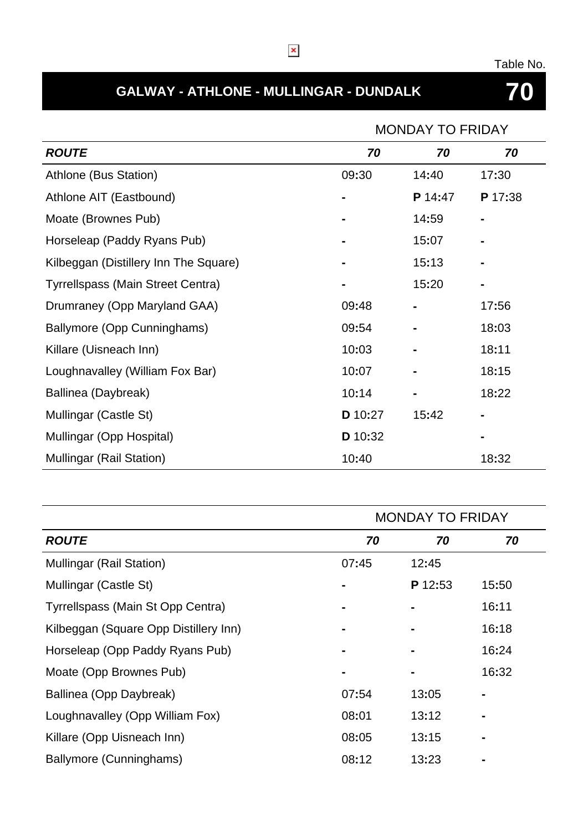#### Table No.

# **GALWAY - ATHLONE - MULLINGAR - DUNDALK 70**

|                                          | <b>MONDAY TO FRIDAY</b> |                |         |
|------------------------------------------|-------------------------|----------------|---------|
| <b>ROUTE</b>                             | 70                      | 70             | 70      |
| Athlone (Bus Station)                    | 09:30                   | 14:40          | 17:30   |
| Athlone AIT (Eastbound)                  |                         | P 14:47        | P 17:38 |
| Moate (Brownes Pub)                      |                         | 14:59          |         |
| Horseleap (Paddy Ryans Pub)              |                         | 15:07          |         |
| Kilbeggan (Distillery Inn The Square)    |                         | 15:13          | Ξ.      |
| <b>Tyrrellspass (Main Street Centra)</b> |                         | 15:20          |         |
| Drumraney (Opp Maryland GAA)             | 09:48                   |                | 17:56   |
| Ballymore (Opp Cunninghams)              | 09:54                   |                | 18:03   |
| Killare (Uisneach Inn)                   | 10:03                   |                | 18:11   |
| Loughnavalley (William Fox Bar)          | 10:07                   |                | 18:15   |
| Ballinea (Daybreak)                      | 10:14                   | $\blacksquare$ | 18:22   |
| Mullingar (Castle St)                    | D 10:27                 | 15:42          |         |
| Mullingar (Opp Hospital)                 | D 10:32                 |                |         |
| <b>Mullingar (Rail Station)</b>          | 10:40                   |                | 18:32   |

|                                       | <b>MONDAY TO FRIDAY</b> |         |       |
|---------------------------------------|-------------------------|---------|-------|
| <b>ROUTE</b>                          | 70                      | 70      | 70    |
| <b>Mullingar (Rail Station)</b>       | 07:45                   | 12:45   |       |
| Mullingar (Castle St)                 |                         | P 12:53 | 15:50 |
| Tyrrellspass (Main St Opp Centra)     |                         |         | 16:11 |
| Kilbeggan (Square Opp Distillery Inn) |                         |         | 16:18 |
| Horseleap (Opp Paddy Ryans Pub)       |                         |         | 16:24 |
| Moate (Opp Brownes Pub)               |                         |         | 16:32 |
| Ballinea (Opp Daybreak)               | 07:54                   | 13:05   |       |
| Loughnavalley (Opp William Fox)       | 08:01                   | 13:12   |       |
| Killare (Opp Uisneach Inn)            | 08:05                   | 13:15   |       |
| Ballymore (Cunninghams)               | 08:12                   | 13:23   |       |